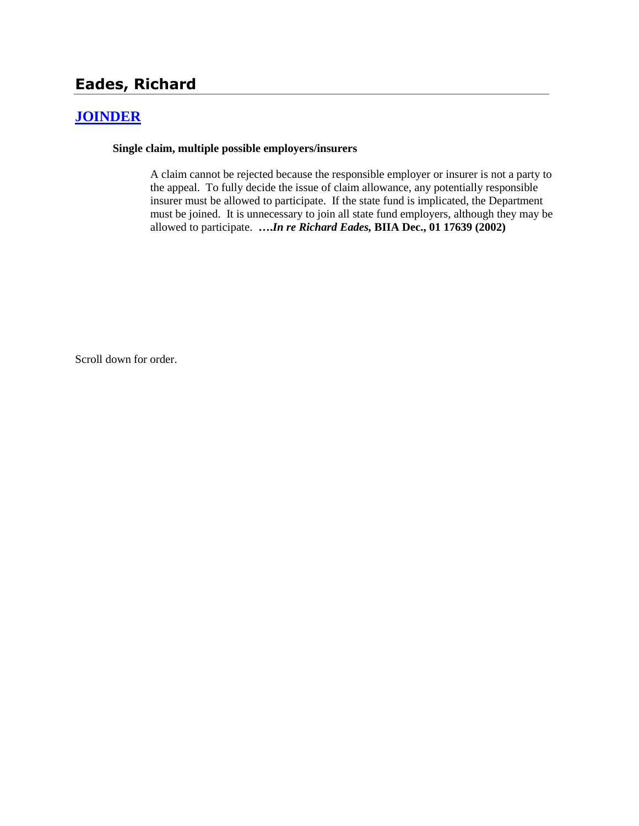# **Eades, Richard**

# **[JOINDER](http://www.biia.wa.gov/SDSubjectIndex.html#JOINDER)**

#### **Single claim, multiple possible employers/insurers**

A claim cannot be rejected because the responsible employer or insurer is not a party to the appeal. To fully decide the issue of claim allowance, any potentially responsible insurer must be allowed to participate. If the state fund is implicated, the Department must be joined. It is unnecessary to join all state fund employers, although they may be allowed to participate. **….***In re Richard Eades,* **BIIA Dec., 01 17639 (2002)** 

Scroll down for order.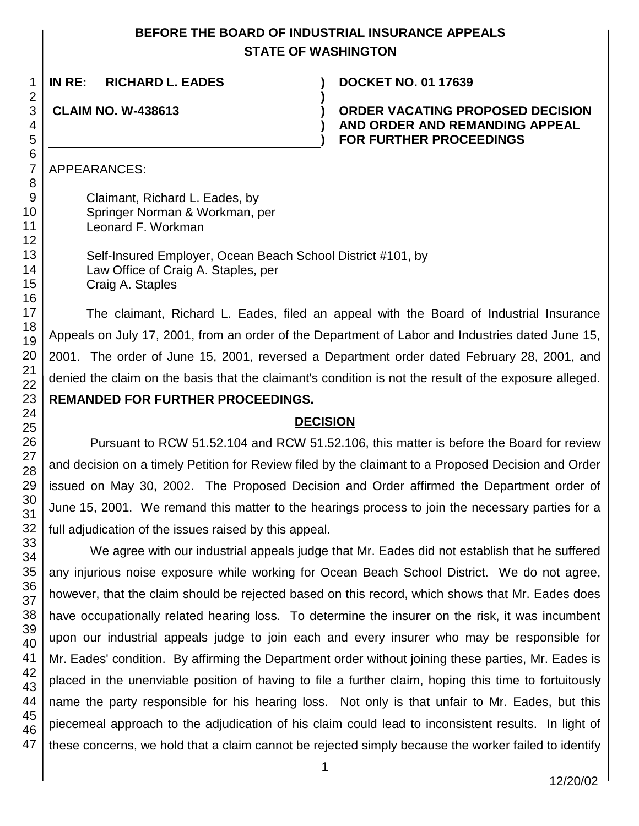# **BEFORE THE BOARD OF INDUSTRIAL INSURANCE APPEALS STATE OF WASHINGTON**

**)**

**) )**

**IN RE: RICHARD L. EADES ) DOCKET NO. 01 17639**

**CLAIM NO. W-438613 )**

**ORDER VACATING PROPOSED DECISION AND ORDER AND REMANDING APPEAL FOR FURTHER PROCEEDINGS**

APPEARANCES:

Claimant, Richard L. Eades, by Springer Norman & Workman, per Leonard F. Workman

Self-Insured Employer, Ocean Beach School District #101, by Law Office of Craig A. Staples, per Craig A. Staples

The claimant, Richard L. Eades, filed an appeal with the Board of Industrial Insurance Appeals on July 17, 2001, from an order of the Department of Labor and Industries dated June 15, 2001. The order of June 15, 2001, reversed a Department order dated February 28, 2001, and denied the claim on the basis that the claimant's condition is not the result of the exposure alleged. **REMANDED FOR FURTHER PROCEEDINGS.**

# **DECISION**

Pursuant to RCW 51.52.104 and RCW 51.52.106, this matter is before the Board for review and decision on a timely Petition for Review filed by the claimant to a Proposed Decision and Order issued on May 30, 2002. The Proposed Decision and Order affirmed the Department order of June 15, 2001. We remand this matter to the hearings process to join the necessary parties for a full adjudication of the issues raised by this appeal.

We agree with our industrial appeals judge that Mr. Eades did not establish that he suffered any injurious noise exposure while working for Ocean Beach School District. We do not agree, however, that the claim should be rejected based on this record, which shows that Mr. Eades does have occupationally related hearing loss. To determine the insurer on the risk, it was incumbent upon our industrial appeals judge to join each and every insurer who may be responsible for Mr. Eades' condition. By affirming the Department order without joining these parties, Mr. Eades is placed in the unenviable position of having to file a further claim, hoping this time to fortuitously name the party responsible for his hearing loss. Not only is that unfair to Mr. Eades, but this piecemeal approach to the adjudication of his claim could lead to inconsistent results. In light of these concerns, we hold that a claim cannot be rejected simply because the worker failed to identify

1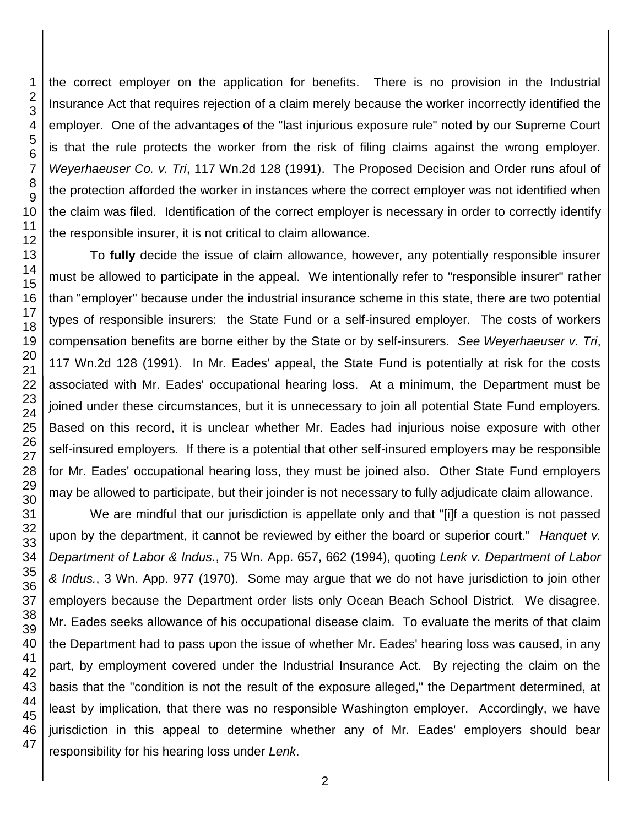the correct employer on the application for benefits. There is no provision in the Industrial Insurance Act that requires rejection of a claim merely because the worker incorrectly identified the employer. One of the advantages of the "last injurious exposure rule" noted by our Supreme Court is that the rule protects the worker from the risk of filing claims against the wrong employer. *Weyerhaeuser Co. v. Tri*, 117 Wn.2d 128 (1991). The Proposed Decision and Order runs afoul of the protection afforded the worker in instances where the correct employer was not identified when the claim was filed. Identification of the correct employer is necessary in order to correctly identify the responsible insurer, it is not critical to claim allowance.

To **fully** decide the issue of claim allowance, however, any potentially responsible insurer must be allowed to participate in the appeal. We intentionally refer to "responsible insurer" rather than "employer" because under the industrial insurance scheme in this state, there are two potential types of responsible insurers: the State Fund or a self-insured employer. The costs of workers compensation benefits are borne either by the State or by self-insurers. *See Weyerhaeuser v. Tri*, 117 Wn.2d 128 (1991). In Mr. Eades' appeal, the State Fund is potentially at risk for the costs associated with Mr. Eades' occupational hearing loss. At a minimum, the Department must be joined under these circumstances, but it is unnecessary to join all potential State Fund employers. Based on this record, it is unclear whether Mr. Eades had injurious noise exposure with other self-insured employers. If there is a potential that other self-insured employers may be responsible for Mr. Eades' occupational hearing loss, they must be joined also. Other State Fund employers may be allowed to participate, but their joinder is not necessary to fully adjudicate claim allowance.

We are mindful that our jurisdiction is appellate only and that "[i]f a question is not passed upon by the department, it cannot be reviewed by either the board or superior court." *Hanquet v. Department of Labor & Indus.*, 75 Wn. App. 657, 662 (1994), quoting *Lenk v. Department of Labor & Indus.*, 3 Wn. App. 977 (1970). Some may argue that we do not have jurisdiction to join other employers because the Department order lists only Ocean Beach School District. We disagree. Mr. Eades seeks allowance of his occupational disease claim. To evaluate the merits of that claim the Department had to pass upon the issue of whether Mr. Eades' hearing loss was caused, in any part, by employment covered under the Industrial Insurance Act. By rejecting the claim on the basis that the "condition is not the result of the exposure alleged," the Department determined, at least by implication, that there was no responsible Washington employer. Accordingly, we have jurisdiction in this appeal to determine whether any of Mr. Eades' employers should bear responsibility for his hearing loss under *Lenk*.